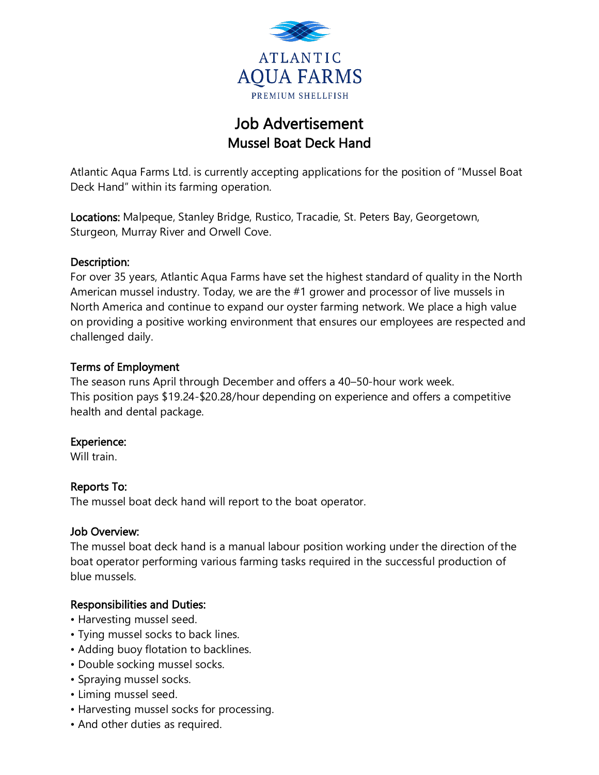

# Job Advertisement Mussel Boat Deck Hand

Atlantic Aqua Farms Ltd. is currently accepting applications for the position of "Mussel Boat Deck Hand" within its farming operation.

Locations: Malpeque, Stanley Bridge, Rustico, Tracadie, St. Peters Bay, Georgetown, Sturgeon, Murray River and Orwell Cove.

#### Description:

For over 35 years, Atlantic Aqua Farms have set the highest standard of quality in the North American mussel industry. Today, we are the #1 grower and processor of live mussels in North America and continue to expand our oyster farming network. We place a high value on providing a positive working environment that ensures our employees are respected and challenged daily.

### Terms of Employment

The season runs April through December and offers a 40–50-hour work week. This position pays \$19.24-\$20.28/hour depending on experience and offers a competitive health and dental package.

## Experience:

Will train.

#### Reports To:

The mussel boat deck hand will report to the boat operator.

#### Job Overview:

The mussel boat deck hand is a manual labour position working under the direction of the boat operator performing various farming tasks required in the successful production of blue mussels.

## Responsibilities and Duties:

- Harvesting mussel seed.
- Tying mussel socks to back lines.
- Adding buoy flotation to backlines.
- Double socking mussel socks.
- Spraying mussel socks.
- Liming mussel seed.
- Harvesting mussel socks for processing.
- And other duties as required.